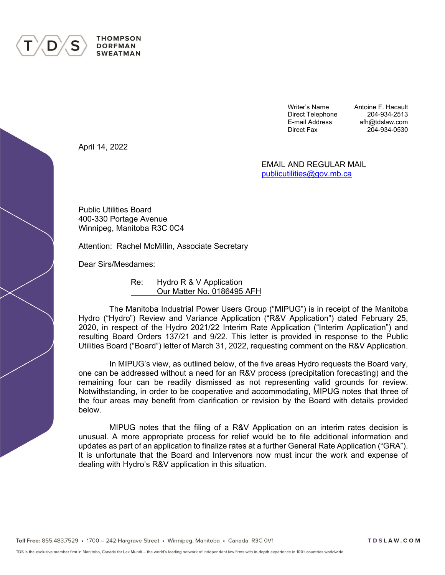

**THOMPSON DORFMAN SWEATMAN** 

> Writer's Name **Antoine F. Hacault** Direct Telephone 204-934-2513 E-mail Address afh@tdslaw.com 204-934-0530

April 14, 2022

EMAIL AND REGULAR MAIL [publicutilities@gov.mb.ca](mailto:publicutilities@gov.mb.ca)

Public Utilities Board 400-330 Portage Avenue Winnipeg, Manitoba R3C 0C4

Attention: Rachel McMillin, Associate Secretary

Dear Sirs/Mesdames:

Re: Hydro R & V Application Our Matter No. 0186495 AFH

The Manitoba Industrial Power Users Group ("MIPUG") is in receipt of the Manitoba Hydro ("Hydro") Review and Variance Application ("R&V Application") dated February 25, 2020, in respect of the Hydro 2021/22 Interim Rate Application ("Interim Application") and resulting Board Orders 137/21 and 9/22. This letter is provided in response to the Public Utilities Board ("Board") letter of March 31, 2022, requesting comment on the R&V Application.

In MIPUG's view, as outlined below, of the five areas Hydro requests the Board vary, one can be addressed without a need for an R&V process (precipitation forecasting) and the remaining four can be readily dismissed as not representing valid grounds for review. Notwithstanding, in order to be cooperative and accommodating, MIPUG notes that three of the four areas may benefit from clarification or revision by the Board with details provided below.

MIPUG notes that the filing of a R&V Application on an interim rates decision is unusual. A more appropriate process for relief would be to file additional information and updates as part of an application to finalize rates at a further General Rate Application ("GRA"). It is unfortunate that the Board and Intervenors now must incur the work and expense of dealing with Hydro's R&V application in this situation.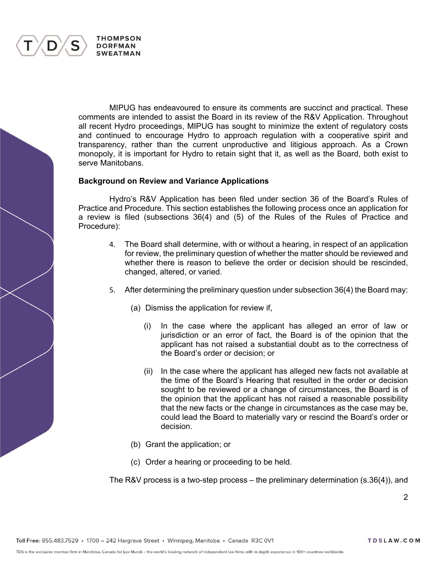

MIPUG has endeavoured to ensure its comments are succinct and practical. These comments are intended to assist the Board in its review of the R&V Application. Throughout all recent Hydro proceedings, MIPUG has sought to minimize the extent of regulatory costs and continued to encourage Hydro to approach regulation with a cooperative spirit and transparency, rather than the current unproductive and litigious approach. As a Crown monopoly, it is important for Hydro to retain sight that it, as well as the Board, both exist to serve Manitobans.

#### **Background on Review and Variance Applications**

Hydro's R&V Application has been filed under section 36 of the Board's Rules of Practice and Procedure. This section establishes the following process once an application for a review is filed (subsections 36(4) and (5) of the Rules of the Rules of Practice and Procedure):

- 4. The Board shall determine, with or without a hearing, in respect of an application for review, the preliminary question of whether the matter should be reviewed and whether there is reason to believe the order or decision should be rescinded, changed, altered, or varied.
- 5. After determining the preliminary question under subsection 36(4) the Board may:
	- (a) Dismiss the application for review if,
		- (i) In the case where the applicant has alleged an error of law or jurisdiction or an error of fact, the Board is of the opinion that the applicant has not raised a substantial doubt as to the correctness of the Board's order or decision; or
		- (ii) In the case where the applicant has alleged new facts not available at the time of the Board's Hearing that resulted in the order or decision sought to be reviewed or a change of circumstances, the Board is of the opinion that the applicant has not raised a reasonable possibility that the new facts or the change in circumstances as the case may be, could lead the Board to materially vary or rescind the Board's order or decision.
	- (b) Grant the application; or
	- (c) Order a hearing or proceeding to be held.

The R&V process is a two-step process – the preliminary determination (s.36(4)), and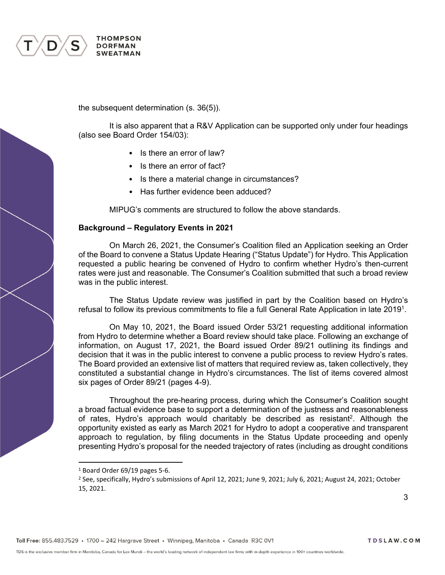

the subsequent determination (s. 36(5)).

It is also apparent that a R&V Application can be supported only under four headings (also see Board Order 154/03):

- Is there an error of law?
- Is there an error of fact?
- Is there a material change in circumstances?
- Has further evidence been adduced?

MIPUG's comments are structured to follow the above standards.

## **Background – Regulatory Events in 2021**

On March 26, 2021, the Consumer's Coalition filed an Application seeking an Order of the Board to convene a Status Update Hearing ("Status Update") for Hydro. This Application requested a public hearing be convened of Hydro to confirm whether Hydro's then-current rates were just and reasonable. The Consumer's Coalition submitted that such a broad review was in the public interest.

The Status Update review was justified in part by the Coalition based on Hydro's refusal to follow its previous commitments to file a full General Rate Application in late 2019<sup>1</sup> .

On May 10, 2021, the Board issued Order 53/21 requesting additional information from Hydro to determine whether a Board review should take place. Following an exchange of information, on August 17, 2021, the Board issued Order 89/21 outlining its findings and decision that it was in the public interest to convene a public process to review Hydro's rates. The Board provided an extensive list of matters that required review as, taken collectively, they constituted a substantial change in Hydro's circumstances. The list of items covered almost six pages of Order 89/21 (pages 4-9).

Throughout the pre-hearing process, during which the Consumer's Coalition sought a broad factual evidence base to support a determination of the justness and reasonableness of rates, Hydro's approach would charitably be described as resistant<sup>2</sup>. Although the opportunity existed as early as March 2021 for Hydro to adopt a cooperative and transparent approach to regulation, by filing documents in the Status Update proceeding and openly presenting Hydro's proposal for the needed trajectory of rates (including as drought conditions

<sup>1</sup> Board Order 69/19 pages 5-6.

<sup>&</sup>lt;sup>2</sup> See, specifically, Hydro's submissions of April 12, 2021; June 9, 2021; July 6, 2021; August 24, 2021; October 15, 2021.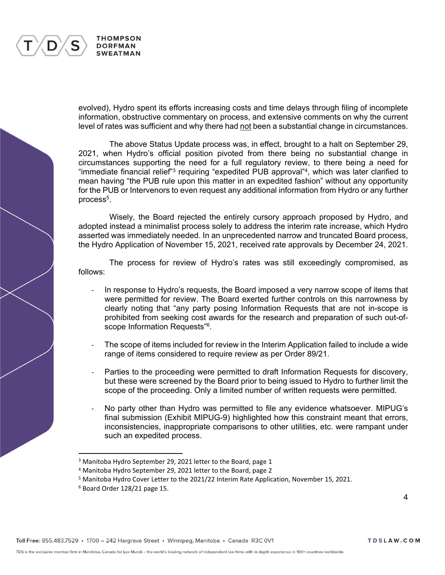

evolved), Hydro spent its efforts increasing costs and time delays through filing of incomplete information, obstructive commentary on process, and extensive comments on why the current level of rates was sufficient and why there had not been a substantial change in circumstances.

The above Status Update process was, in effect, brought to a halt on September 29, 2021, when Hydro's official position pivoted from there being no substantial change in circumstances supporting the need for a full regulatory review, to there being a need for "immediate financial relief"<sup>3</sup> requiring "expedited PUB approval"<sup>4</sup>, which was later clarified to mean having "the PUB rule upon this matter in an expedited fashion" without any opportunity for the PUB or Intervenors to even request any additional information from Hydro or any further process<sup>5</sup>.

Wisely, the Board rejected the entirely cursory approach proposed by Hydro, and adopted instead a minimalist process solely to address the interim rate increase, which Hydro asserted was immediately needed. In an unprecedented narrow and truncated Board process, the Hydro Application of November 15, 2021, received rate approvals by December 24, 2021.

The process for review of Hydro's rates was still exceedingly compromised, as follows:

- In response to Hydro's requests, the Board imposed a very narrow scope of items that were permitted for review. The Board exerted further controls on this narrowness by clearly noting that "any party posing Information Requests that are not in-scope is prohibited from seeking cost awards for the research and preparation of such out-ofscope Information Requests"<sup>6</sup>.
- The scope of items included for review in the Interim Application failed to include a wide range of items considered to require review as per Order 89/21.
- Parties to the proceeding were permitted to draft Information Requests for discovery, but these were screened by the Board prior to being issued to Hydro to further limit the scope of the proceeding. Only a limited number of written requests were permitted.
- No party other than Hydro was permitted to file any evidence whatsoever. MIPUG's final submission (Exhibit MIPUG-9) highlighted how this constraint meant that errors, inconsistencies, inappropriate comparisons to other utilities, etc. were rampant under such an expedited process.

<sup>&</sup>lt;sup>3</sup> Manitoba Hydro September 29, 2021 letter to the Board, page 1

<sup>4</sup> Manitoba Hydro September 29, 2021 letter to the Board, page 2

<sup>5</sup> Manitoba Hydro Cover Letter to the 2021/22 Interim Rate Application, November 15, 2021.

<sup>6</sup> Board Order 128/21 page 15.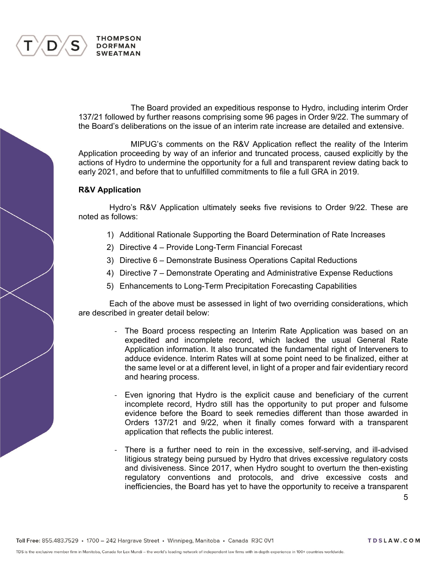

The Board provided an expeditious response to Hydro, including interim Order 137/21 followed by further reasons comprising some 96 pages in Order 9/22. The summary of the Board's deliberations on the issue of an interim rate increase are detailed and extensive.

MIPUG's comments on the R&V Application reflect the reality of the Interim Application proceeding by way of an inferior and truncated process, caused explicitly by the actions of Hydro to undermine the opportunity for a full and transparent review dating back to early 2021, and before that to unfulfilled commitments to file a full GRA in 2019.

## **R&V Application**

Hydro's R&V Application ultimately seeks five revisions to Order 9/22. These are noted as follows:

- 1) Additional Rationale Supporting the Board Determination of Rate Increases
- 2) Directive 4 Provide Long-Term Financial Forecast
- 3) Directive 6 Demonstrate Business Operations Capital Reductions
- 4) Directive 7 Demonstrate Operating and Administrative Expense Reductions
- 5) Enhancements to Long-Term Precipitation Forecasting Capabilities

Each of the above must be assessed in light of two overriding considerations, which are described in greater detail below:

- The Board process respecting an Interim Rate Application was based on an expedited and incomplete record, which lacked the usual General Rate Application information. It also truncated the fundamental right of Interveners to adduce evidence. Interim Rates will at some point need to be finalized, either at the same level or at a different level, in light of a proper and fair evidentiary record and hearing process.
- Even ignoring that Hydro is the explicit cause and beneficiary of the current incomplete record, Hydro still has the opportunity to put proper and fulsome evidence before the Board to seek remedies different than those awarded in Orders 137/21 and 9/22, when it finally comes forward with a transparent application that reflects the public interest.
- There is a further need to rein in the excessive, self-serving, and ill-advised litigious strategy being pursued by Hydro that drives excessive regulatory costs and divisiveness. Since 2017, when Hydro sought to overturn the then-existing regulatory conventions and protocols, and drive excessive costs and inefficiencies, the Board has yet to have the opportunity to receive a transparent

5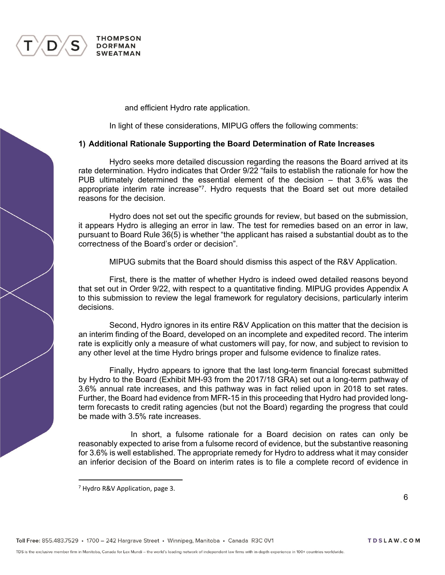

and efficient Hydro rate application.

In light of these considerations, MIPUG offers the following comments:

## **1) Additional Rationale Supporting the Board Determination of Rate Increases**

Hydro seeks more detailed discussion regarding the reasons the Board arrived at its rate determination. Hydro indicates that Order 9/22 "fails to establish the rationale for how the PUB ultimately determined the essential element of the decision – that 3.6% was the appropriate interim rate increase"<sup>7</sup> . Hydro requests that the Board set out more detailed reasons for the decision.

Hydro does not set out the specific grounds for review, but based on the submission, it appears Hydro is alleging an error in law. The test for remedies based on an error in law, pursuant to Board Rule 36(5) is whether "the applicant has raised a substantial doubt as to the correctness of the Board's order or decision".

MIPUG submits that the Board should dismiss this aspect of the R&V Application.

First, there is the matter of whether Hydro is indeed owed detailed reasons beyond that set out in Order 9/22, with respect to a quantitative finding. MIPUG provides Appendix A to this submission to review the legal framework for regulatory decisions, particularly interim decisions.

Second, Hydro ignores in its entire R&V Application on this matter that the decision is an interim finding of the Board, developed on an incomplete and expedited record. The interim rate is explicitly only a measure of what customers will pay, for now, and subject to revision to any other level at the time Hydro brings proper and fulsome evidence to finalize rates.

Finally, Hydro appears to ignore that the last long-term financial forecast submitted by Hydro to the Board (Exhibit MH-93 from the 2017/18 GRA) set out a long-term pathway of 3.6% annual rate increases, and this pathway was in fact relied upon in 2018 to set rates. Further, the Board had evidence from MFR-15 in this proceeding that Hydro had provided longterm forecasts to credit rating agencies (but not the Board) regarding the progress that could be made with 3.5% rate increases.

In short, a fulsome rationale for a Board decision on rates can only be reasonably expected to arise from a fulsome record of evidence, but the substantive reasoning for 3.6% is well established. The appropriate remedy for Hydro to address what it may consider an inferior decision of the Board on interim rates is to file a complete record of evidence in

<sup>7</sup> Hydro R&V Application, page 3.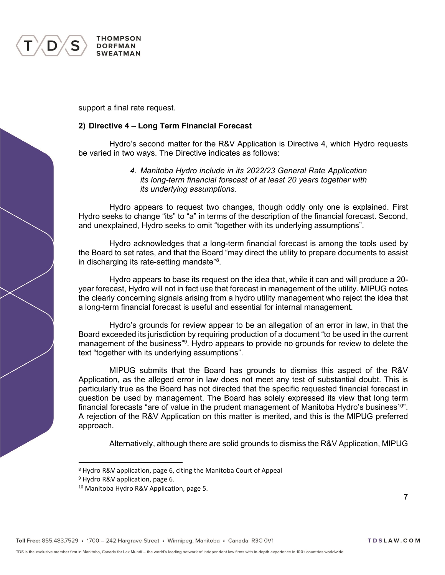

**THOMPSON DORFMAN SWEATMAN** 

support a final rate request.

# **2) Directive 4 – Long Term Financial Forecast**

Hydro's second matter for the R&V Application is Directive 4, which Hydro requests be varied in two ways. The Directive indicates as follows:

# *4. Manitoba Hydro include in its 2022/23 General Rate Application its long-term financial forecast of at least 20 years together with its underlying assumptions.*

Hydro appears to request two changes, though oddly only one is explained. First Hydro seeks to change "its" to "a" in terms of the description of the financial forecast. Second, and unexplained, Hydro seeks to omit "together with its underlying assumptions".

Hydro acknowledges that a long-term financial forecast is among the tools used by the Board to set rates, and that the Board "may direct the utility to prepare documents to assist in discharging its rate-setting mandate"<sup>8</sup>.

Hydro appears to base its request on the idea that, while it can and will produce a 20 year forecast, Hydro will not in fact use that forecast in management of the utility. MIPUG notes the clearly concerning signals arising from a hydro utility management who reject the idea that a long-term financial forecast is useful and essential for internal management.

Hydro's grounds for review appear to be an allegation of an error in law, in that the Board exceeded its jurisdiction by requiring production of a document "to be used in the current management of the business"<sup>9</sup>. Hydro appears to provide no grounds for review to delete the text "together with its underlying assumptions".

MIPUG submits that the Board has grounds to dismiss this aspect of the R&V Application, as the alleged error in law does not meet any test of substantial doubt. This is particularly true as the Board has not directed that the specific requested financial forecast in question be used by management. The Board has solely expressed its view that long term financial forecasts "are of value in the prudent management of Manitoba Hydro's business<sup>10</sup>". A rejection of the R&V Application on this matter is merited, and this is the MIPUG preferred approach.

Alternatively, although there are solid grounds to dismiss the R&V Application, MIPUG

7

<sup>8</sup> Hydro R&V application, page 6, citing the Manitoba Court of Appeal

<sup>9</sup> Hydro R&V application, page 6.

<sup>&</sup>lt;sup>10</sup> Manitoba Hydro R&V Application, page 5.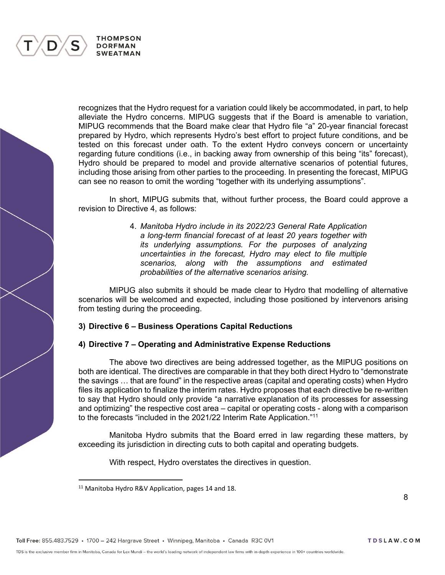

recognizes that the Hydro request for a variation could likely be accommodated, in part, to help alleviate the Hydro concerns. MIPUG suggests that if the Board is amenable to variation, MIPUG recommends that the Board make clear that Hydro file "a" 20-year financial forecast prepared by Hydro, which represents Hydro's best effort to project future conditions, and be tested on this forecast under oath. To the extent Hydro conveys concern or uncertainty regarding future conditions (i.e., in backing away from ownership of this being "its" forecast), Hydro should be prepared to model and provide alternative scenarios of potential futures, including those arising from other parties to the proceeding. In presenting the forecast, MIPUG can see no reason to omit the wording "together with its underlying assumptions".

In short, MIPUG submits that, without further process, the Board could approve a revision to Directive 4, as follows:

> 4. *Manitoba Hydro include in its 2022/23 General Rate Application a long-term financial forecast of at least 20 years together with its underlying assumptions. For the purposes of analyzing uncertainties in the forecast, Hydro may elect to file multiple scenarios, along with the assumptions and estimated probabilities of the alternative scenarios arising.*

MIPUG also submits it should be made clear to Hydro that modelling of alternative scenarios will be welcomed and expected, including those positioned by intervenors arising from testing during the proceeding.

# **3) Directive 6 – Business Operations Capital Reductions**

# **4) Directive 7 – Operating and Administrative Expense Reductions**

The above two directives are being addressed together, as the MIPUG positions on both are identical. The directives are comparable in that they both direct Hydro to "demonstrate the savings … that are found" in the respective areas (capital and operating costs) when Hydro files its application to finalize the interim rates. Hydro proposes that each directive be re-written to say that Hydro should only provide "a narrative explanation of its processes for assessing and optimizing" the respective cost area – capital or operating costs - along with a comparison to the forecasts "included in the 2021/22 Interim Rate Application."<sup>11</sup>

Manitoba Hydro submits that the Board erred in law regarding these matters, by exceeding its jurisdiction in directing cuts to both capital and operating budgets.

With respect, Hydro overstates the directives in question.

<sup>&</sup>lt;sup>11</sup> Manitoba Hydro R&V Application, pages 14 and 18.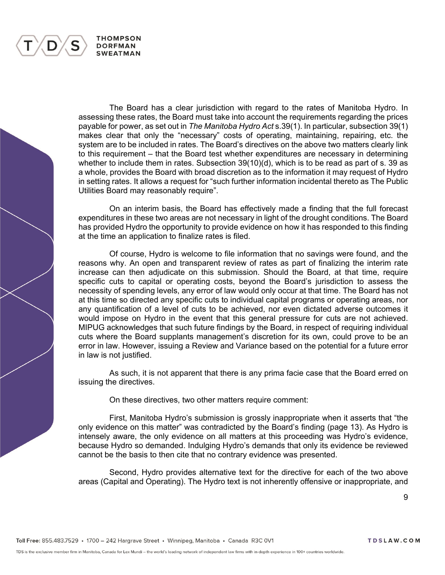The Board has a clear jurisdiction with regard to the rates of Manitoba Hydro. In assessing these rates, the Board must take into account the requirements regarding the prices payable for power, as set out in *The Manitoba Hydro Act* s.39(1). In particular, subsection 39(1) makes clear that only the "necessary" costs of operating, maintaining, repairing, etc. the system are to be included in rates. The Board's directives on the above two matters clearly link to this requirement – that the Board test whether expenditures are necessary in determining whether to include them in rates. Subsection 39(10)(d), which is to be read as part of s. 39 as a whole, provides the Board with broad discretion as to the information it may request of Hydro in setting rates. It allows a request for "such further information incidental thereto as The Public Utilities Board may reasonably require".

On an interim basis, the Board has effectively made a finding that the full forecast expenditures in these two areas are not necessary in light of the drought conditions. The Board has provided Hydro the opportunity to provide evidence on how it has responded to this finding at the time an application to finalize rates is filed.

Of course, Hydro is welcome to file information that no savings were found, and the reasons why. An open and transparent review of rates as part of finalizing the interim rate increase can then adjudicate on this submission. Should the Board, at that time, require specific cuts to capital or operating costs, beyond the Board's jurisdiction to assess the necessity of spending levels, any error of law would only occur at that time. The Board has not at this time so directed any specific cuts to individual capital programs or operating areas, nor any quantification of a level of cuts to be achieved, nor even dictated adverse outcomes it would impose on Hydro in the event that this general pressure for cuts are not achieved. MIPUG acknowledges that such future findings by the Board, in respect of requiring individual cuts where the Board supplants management's discretion for its own, could prove to be an error in law. However, issuing a Review and Variance based on the potential for a future error in law is not justified.

As such, it is not apparent that there is any prima facie case that the Board erred on issuing the directives.

On these directives, two other matters require comment:

First, Manitoba Hydro's submission is grossly inappropriate when it asserts that "the only evidence on this matter" was contradicted by the Board's finding (page 13). As Hydro is intensely aware, the only evidence on all matters at this proceeding was Hydro's evidence, because Hydro so demanded. Indulging Hydro's demands that only its evidence be reviewed cannot be the basis to then cite that no contrary evidence was presented.

Second, Hydro provides alternative text for the directive for each of the two above areas (Capital and Operating). The Hydro text is not inherently offensive or inappropriate, and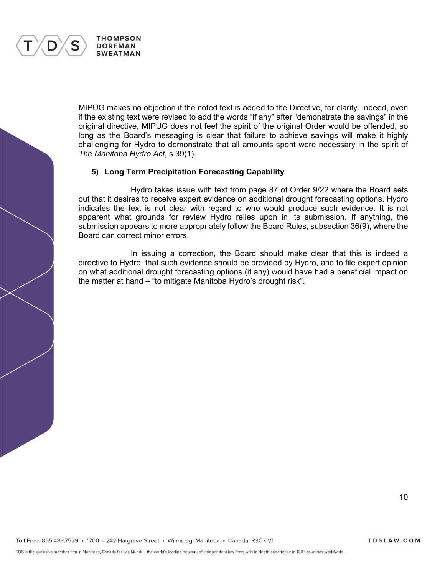

MIPUG makes no objection if the noted text is added to the Directive, for clarity. Indeed, even if the existing text were revised to add the words "if any" after "demonstrate the savings" in the original directive, MIPUG does not feel the spirit of the original Order would be offended, so long as the Board's messaging is clear that failure to achieve savings will make it highly challenging for Hydro to demonstrate that all amounts spent were necessary in the spirit of *The Manitoba Hydro Act*, s.39(1).

## **5) Long Term Precipitation Forecasting Capability**

Hydro takes issue with text from page 87 of Order 9/22 where the Board sets out that it desires to receive expert evidence on additional drought forecasting options. Hydro indicates the text is not clear with regard to who would produce such evidence. It is not apparent what grounds for review Hydro relies upon in its submission. If anything, the submission appears to more appropriately follow the Board Rules, subsection 36(9), where the Board can correct minor errors.

In issuing a correction, the Board should make clear that this is indeed a directive to Hydro, that such evidence should be provided by Hydro, and to file expert opinion on what additional drought forecasting options (if any) would have had a beneficial impact on the matter at hand – "to mitigate Manitoba Hydro's drought risk".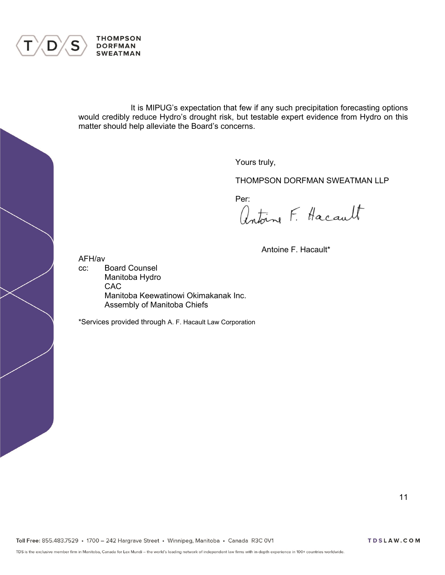

It is MIPUG's expectation that few if any such precipitation forecasting options would credibly reduce Hydro's drought risk, but testable expert evidence from Hydro on this matter should help alleviate the Board's concerns.

Yours truly,

THOMPSON DORFMAN SWEATMAN LLP

Per:<br>Antoine F. Hacault

Antoine F. Hacault\*

AFH/av

cc: Board Counsel Manitoba Hydro CAC Manitoba Keewatinowi Okimakanak Inc. Assembly of Manitoba Chiefs

\*Services provided through A. F. Hacault Law Corporation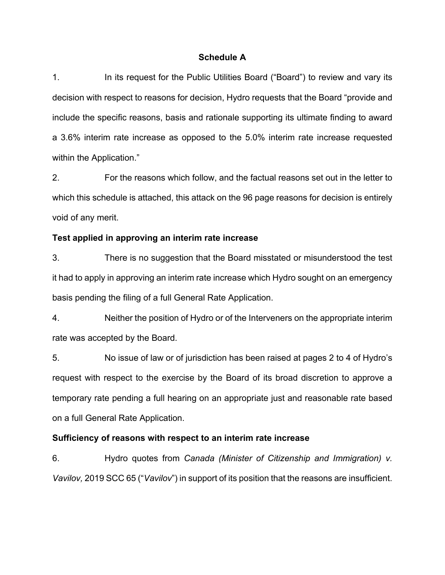# **Schedule A**

1. In its request for the Public Utilities Board ("Board") to review and vary its decision with respect to reasons for decision, Hydro requests that the Board "provide and include the specific reasons, basis and rationale supporting its ultimate finding to award a 3.6% interim rate increase as opposed to the 5.0% interim rate increase requested within the Application."

2. For the reasons which follow, and the factual reasons set out in the letter to which this schedule is attached, this attack on the 96 page reasons for decision is entirely void of any merit.

## **Test applied in approving an interim rate increase**

3. There is no suggestion that the Board misstated or misunderstood the test it had to apply in approving an interim rate increase which Hydro sought on an emergency basis pending the filing of a full General Rate Application.

4. Neither the position of Hydro or of the Interveners on the appropriate interim rate was accepted by the Board.

5. No issue of law or of jurisdiction has been raised at pages 2 to 4 of Hydro's request with respect to the exercise by the Board of its broad discretion to approve a temporary rate pending a full hearing on an appropriate just and reasonable rate based on a full General Rate Application.

# **Sufficiency of reasons with respect to an interim rate increase**

6. Hydro quotes from *Canada (Minister of Citizenship and Immigration) v. Vavilov,* 2019 SCC 65 ("*Vavilov*") in support of its position that the reasons are insufficient.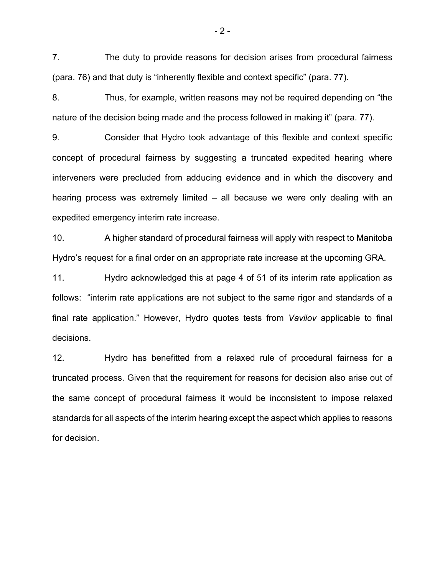7. The duty to provide reasons for decision arises from procedural fairness (para. 76) and that duty is "inherently flexible and context specific" (para. 77).

8. Thus, for example, written reasons may not be required depending on "the nature of the decision being made and the process followed in making it" (para. 77).

9. Consider that Hydro took advantage of this flexible and context specific concept of procedural fairness by suggesting a truncated expedited hearing where interveners were precluded from adducing evidence and in which the discovery and hearing process was extremely limited – all because we were only dealing with an expedited emergency interim rate increase.

10. A higher standard of procedural fairness will apply with respect to Manitoba Hydro's request for a final order on an appropriate rate increase at the upcoming GRA.

11. Hydro acknowledged this at page 4 of 51 of its interim rate application as follows: "interim rate applications are not subject to the same rigor and standards of a final rate application." However, Hydro quotes tests from *Vavilov* applicable to final decisions.

12. Hydro has benefitted from a relaxed rule of procedural fairness for a truncated process. Given that the requirement for reasons for decision also arise out of the same concept of procedural fairness it would be inconsistent to impose relaxed standards for all aspects of the interim hearing except the aspect which applies to reasons for decision.

 $-2-$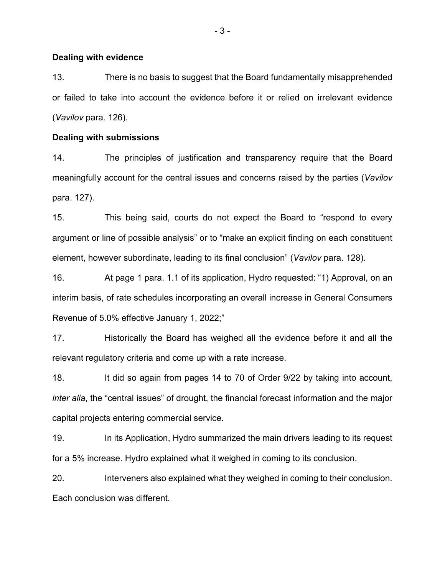## **Dealing with evidence**

13. There is no basis to suggest that the Board fundamentally misapprehended or failed to take into account the evidence before it or relied on irrelevant evidence (*Vavilov* para. 126).

# **Dealing with submissions**

14. The principles of justification and transparency require that the Board meaningfully account for the central issues and concerns raised by the parties (*Vavilov* para. 127).

15. This being said, courts do not expect the Board to "respond to every argument or line of possible analysis" or to "make an explicit finding on each constituent element, however subordinate, leading to its final conclusion" (*Vavilov* para. 128).

16. At page 1 para. 1.1 of its application, Hydro requested: "1) Approval, on an interim basis, of rate schedules incorporating an overall increase in General Consumers Revenue of 5.0% effective January 1, 2022;"

17. Historically the Board has weighed all the evidence before it and all the relevant regulatory criteria and come up with a rate increase.

18. It did so again from pages 14 to 70 of Order 9/22 by taking into account, *inter alia*, the "central issues" of drought, the financial forecast information and the major capital projects entering commercial service.

19. In its Application, Hydro summarized the main drivers leading to its request for a 5% increase. Hydro explained what it weighed in coming to its conclusion.

20. Interveners also explained what they weighed in coming to their conclusion. Each conclusion was different.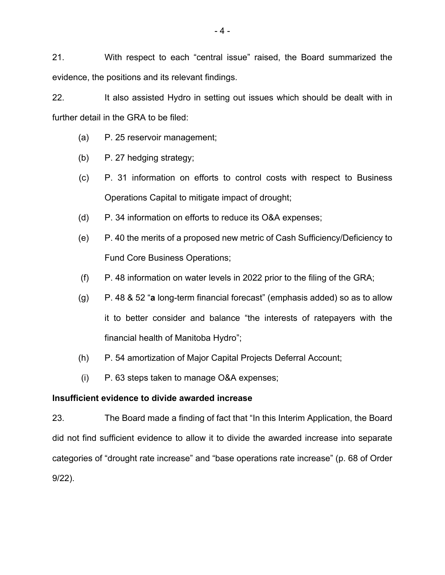21. With respect to each "central issue" raised, the Board summarized the evidence, the positions and its relevant findings.

22. It also assisted Hydro in setting out issues which should be dealt with in further detail in the GRA to be filed:

- (a) P. 25 reservoir management;
- (b) P. 27 hedging strategy;
- (c) P. 31 information on efforts to control costs with respect to Business Operations Capital to mitigate impact of drought;
- (d) P. 34 information on efforts to reduce its O&A expenses;
- (e) P. 40 the merits of a proposed new metric of Cash Sufficiency/Deficiency to Fund Core Business Operations;
- (f) P. 48 information on water levels in 2022 prior to the filing of the GRA;
- (g) P. 48 & 52 "**a** long-term financial forecast" (emphasis added) so as to allow it to better consider and balance "the interests of ratepayers with the financial health of Manitoba Hydro";
- (h) P. 54 amortization of Major Capital Projects Deferral Account;
- (i) P. 63 steps taken to manage O&A expenses;

# **Insufficient evidence to divide awarded increase**

23. The Board made a finding of fact that "In this Interim Application, the Board did not find sufficient evidence to allow it to divide the awarded increase into separate categories of "drought rate increase" and "base operations rate increase" (p. 68 of Order 9/22).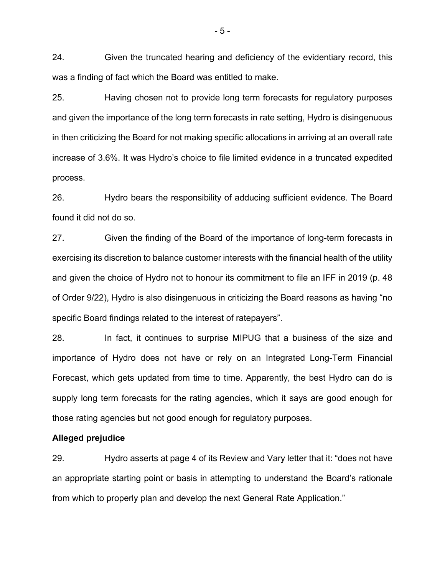24. Given the truncated hearing and deficiency of the evidentiary record, this was a finding of fact which the Board was entitled to make.

25. Having chosen not to provide long term forecasts for regulatory purposes and given the importance of the long term forecasts in rate setting, Hydro is disingenuous in then criticizing the Board for not making specific allocations in arriving at an overall rate increase of 3.6%. It was Hydro's choice to file limited evidence in a truncated expedited process.

26. Hydro bears the responsibility of adducing sufficient evidence. The Board found it did not do so.

27. Given the finding of the Board of the importance of long-term forecasts in exercising its discretion to balance customer interests with the financial health of the utility and given the choice of Hydro not to honour its commitment to file an IFF in 2019 (p. 48 of Order 9/22), Hydro is also disingenuous in criticizing the Board reasons as having "no specific Board findings related to the interest of ratepayers".

28. In fact, it continues to surprise MIPUG that a business of the size and importance of Hydro does not have or rely on an Integrated Long-Term Financial Forecast, which gets updated from time to time. Apparently, the best Hydro can do is supply long term forecasts for the rating agencies, which it says are good enough for those rating agencies but not good enough for regulatory purposes.

## **Alleged prejudice**

29. Hydro asserts at page 4 of its Review and Vary letter that it: "does not have an appropriate starting point or basis in attempting to understand the Board's rationale from which to properly plan and develop the next General Rate Application."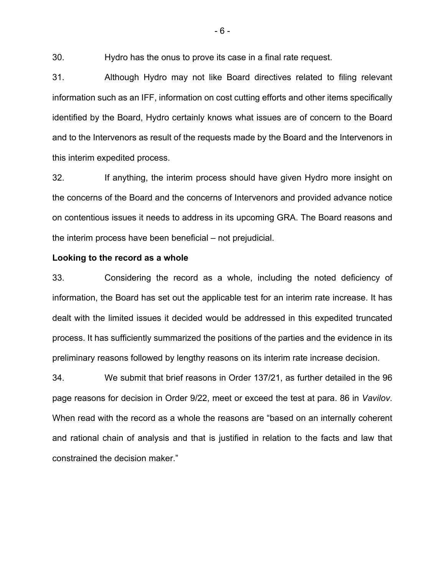30. Hydro has the onus to prove its case in a final rate request.

31. Although Hydro may not like Board directives related to filing relevant information such as an IFF, information on cost cutting efforts and other items specifically identified by the Board, Hydro certainly knows what issues are of concern to the Board and to the Intervenors as result of the requests made by the Board and the Intervenors in this interim expedited process.

32. If anything, the interim process should have given Hydro more insight on the concerns of the Board and the concerns of Intervenors and provided advance notice on contentious issues it needs to address in its upcoming GRA. The Board reasons and the interim process have been beneficial – not prejudicial.

#### **Looking to the record as a whole**

33. Considering the record as a whole, including the noted deficiency of information, the Board has set out the applicable test for an interim rate increase. It has dealt with the limited issues it decided would be addressed in this expedited truncated process. It has sufficiently summarized the positions of the parties and the evidence in its preliminary reasons followed by lengthy reasons on its interim rate increase decision.

34. We submit that brief reasons in Order 137/21, as further detailed in the 96 page reasons for decision in Order 9/22, meet or exceed the test at para. 86 in *Vavilov*. When read with the record as a whole the reasons are "based on an internally coherent and rational chain of analysis and that is justified in relation to the facts and law that constrained the decision maker."